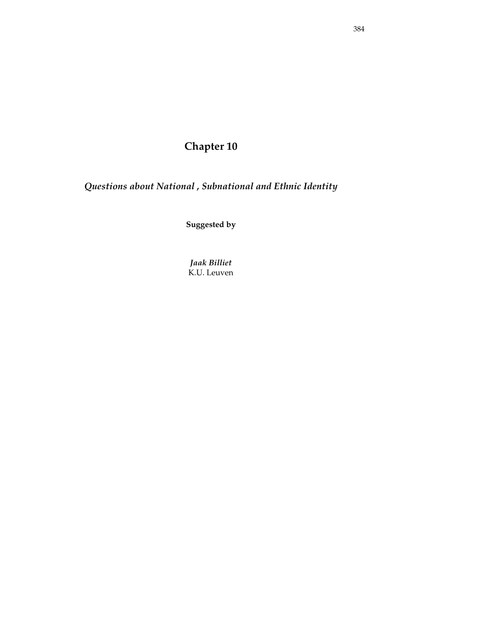# **Chapter 10**

*Questions about National , Subnational and Ethnic Identity* 

**Suggested by** 

*Jaak Billiet*  K.U. Leuven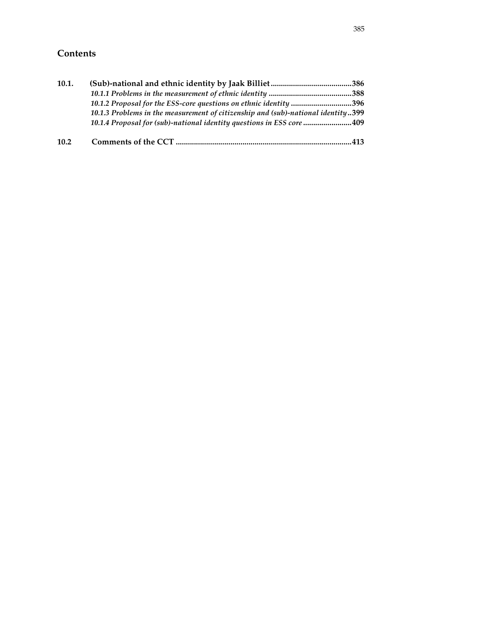# **Contents**

| 10.1. |                                                                                  |     |
|-------|----------------------------------------------------------------------------------|-----|
|       |                                                                                  |     |
|       | 10.1.2 Proposal for the ESS-core questions on ethnic identity 396                |     |
|       | 10.1.3 Problems in the measurement of citizenship and (sub)-national identity399 |     |
|       | 10.1.4 Proposal for (sub)-national identity questions in ESS core 409            |     |
| 10.2  |                                                                                  | 413 |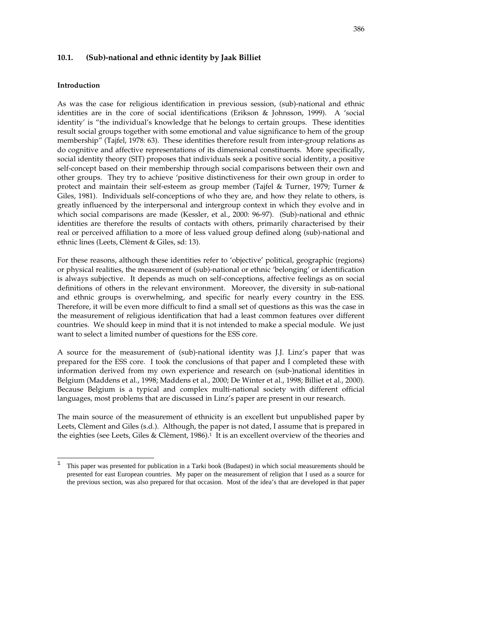#### **10.1. (Sub)-national and ethnic identity by Jaak Billiet**

#### **Introduction**

As was the case for religious identification in previous session, (sub)-national and ethnic identities are in the core of social identifications (Erikson & Johnsson, 1999). A 'social identity' is "the individual's knowledge that he belongs to certain groups. These identities result social groups together with some emotional and value significance to hem of the group membership" (Tajfel, 1978: 63). These identities therefore result from inter-group relations as do cognitive and affective representations of its dimensional constituents. More specifically, social identity theory (SIT) proposes that individuals seek a positive social identity, a positive self-concept based on their membership through social comparisons between their own and other groups. They try to achieve 'positive distinctiveness for their own group in order to protect and maintain their self-esteem as group member (Tajfel & Turner, 1979; Turner & Giles, 1981). Individuals self-conceptions of who they are, and how they relate to others, is greatly influenced by the interpersonal and intergroup context in which they evolve and in which social comparisons are made (Kessler, et al., 2000: 96-97). (Sub)-national and ethnic identities are therefore the results of contacts with others, primarily characterised by their real or perceived affiliation to a more of less valued group defined along (sub)-national and ethnic lines (Leets, Clèment & Giles, sd: 13).

For these reasons, although these identities refer to 'objective' political, geographic (regions) or physical realities, the measurement of (sub)-national or ethnic 'belonging' or identification is always subjective. It depends as much on self-conceptions, affective feelings as on social definitions of others in the relevant environment. Moreover, the diversity in sub-national and ethnic groups is overwhelming, and specific for nearly every country in the ESS. Therefore, it will be even more difficult to find a small set of questions as this was the case in the measurement of religious identification that had a least common features over different countries. We should keep in mind that it is not intended to make a special module. We just want to select a limited number of questions for the ESS core.

A source for the measurement of (sub)-national identity was J.J. Linz's paper that was prepared for the ESS core. I took the conclusions of that paper and I completed these with information derived from my own experience and research on (sub-)national identities in Belgium (Maddens et al., 1998; Maddens et al., 2000; De Winter et al., 1998; Billiet et al., 2000). Because Belgium is a typical and complex multi-national society with different official languages, most problems that are discussed in Linz's paper are present in our research.

The main source of the measurement of ethnicity is an excellent but unpublished paper by Leets, Clèment and Giles (s.d.). Although, the paper is not dated, I assume that is prepared in the eighties (see Leets, Giles & Clèment, 1986).<sup>1</sup> It is an excellent overview of the theories and

 $\frac{1}{1}$  This paper was presented for publication in a Tarki book (Budapest) in which social measurements should be presented for east European countries. My paper on the measurement of religion that I used as a source for the previous section, was also prepared for that occasion. Most of the idea's that are developed in that paper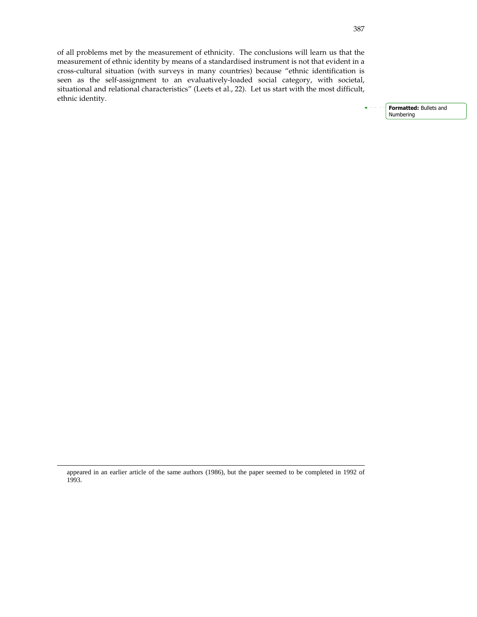of all problems met by the measurement of ethnicity. The conclusions will learn us that the measurement of ethnic identity by means of a standardised instrument is not that evident in a cross-cultural situation (with surveys in many countries) because "ethnic identification is seen as the self-assignment to an evaluatively-loaded social category, with societal, situational and relational characteristics" (Leets et al., 22). Let us start with the most difficult, ethnic identity.

> Formatted: Bullets and Numbering

j

appeared in an earlier article of the same authors (1986), but the paper seemed to be completed in 1992 of 1993.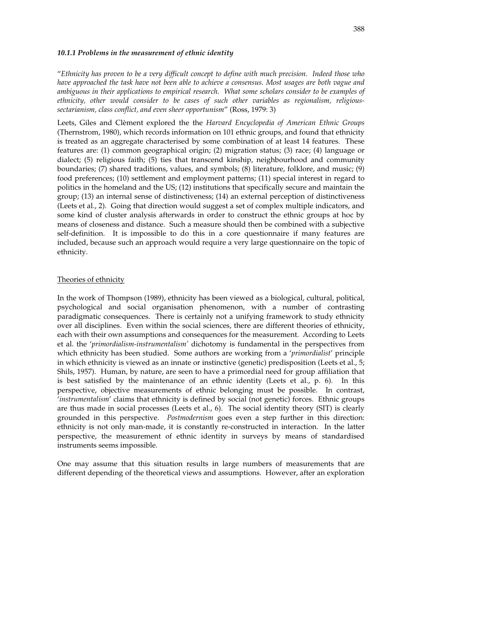#### *10.1.1 Problems in the measurement of ethnic identity*

"*Ethnicity has proven to be a very difficult concept to define with much precision. Indeed those who have approached the task have not been able to achieve a consensus. Most usages are both vague and ambiguous in their applications to empirical research. What some scholars consider to be examples of ethnicity, other would consider to be cases of such other variables as regionalism, religioussectarianism, class conflict, and even sheer opportunism*" (Ross, 1979: 3)

Leets, Giles and Clèment explored the the *Harvard Encyclopedia of American Ethnic Groups* (Thernstrom, 1980), which records information on 101 ethnic groups, and found that ethnicity is treated as an aggregate characterised by some combination of at least 14 features. These features are: (1) common geographical origin; (2) migration status; (3) race; (4) language or dialect; (5) religious faith; (5) ties that transcend kinship, neighbourhood and community boundaries; (7) shared traditions, values, and symbols; (8) literature, folklore, and music; (9) food preferences; (10) settlement and employment patterns; (11) special interest in regard to politics in the homeland and the US; (12) institutions that specifically secure and maintain the group; (13) an internal sense of distinctiveness; (14) an external perception of distinctiveness (Leets et al., 2). Going that direction would suggest a set of complex multiple indicators, and some kind of cluster analysis afterwards in order to construct the ethnic groups at hoc by means of closeness and distance. Such a measure should then be combined with a subjective self-definition. It is impossible to do this in a core questionnaire if many features are included, because such an approach would require a very large questionnaire on the topic of ethnicity.

#### Theories of ethnicity

In the work of Thompson (1989), ethnicity has been viewed as a biological, cultural, political, psychological and social organisation phenomenon, with a number of contrasting paradigmatic consequences. There is certainly not a unifying framework to study ethnicity over all disciplines. Even within the social sciences, there are different theories of ethnicity, each with their own assumptions and consequences for the measurement. According to Leets et al. the '*primordialism-instrumentalism'* dichotomy is fundamental in the perspectives from which ethnicity has been studied. Some authors are working from a '*primordialist*' principle in which ethnicity is viewed as an innate or instinctive (genetic) predisposition (Leets et al., 5; Shils, 1957). Human, by nature, are seen to have a primordial need for group affiliation that is best satisfied by the maintenance of an ethnic identity (Leets et al., p. 6). In this perspective, objective measurements of ethnic belonging must be possible. In contrast, '*instrumentalism*' claims that ethnicity is defined by social (not genetic) forces. Ethnic groups are thus made in social processes (Leets et al., 6). The social identity theory (SIT) is clearly grounded in this perspective. *Postmodernism* goes even a step further in this direction: ethnicity is not only man-made, it is constantly re-constructed in interaction. In the latter perspective, the measurement of ethnic identity in surveys by means of standardised instruments seems impossible.

One may assume that this situation results in large numbers of measurements that are different depending of the theoretical views and assumptions. However, after an exploration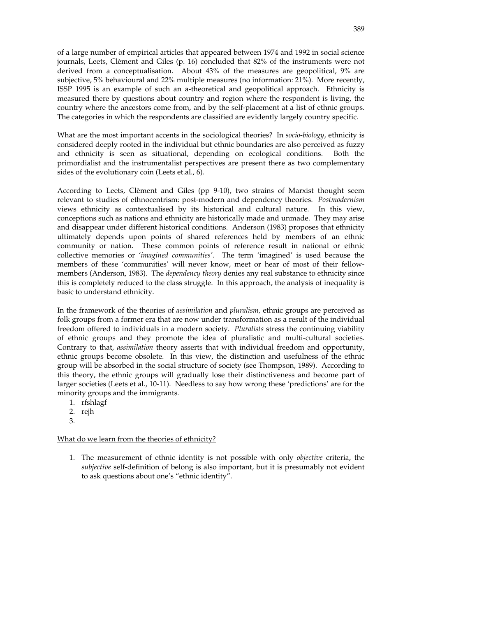of a large number of empirical articles that appeared between 1974 and 1992 in social science journals, Leets, Clèment and Giles (p. 16) concluded that 82% of the instruments were not derived from a conceptualisation. About 43% of the measures are geopolitical, 9% are subjective, 5% behavioural and 22% multiple measures (no information: 21%). More recently, ISSP 1995 is an example of such an a-theoretical and geopolitical approach. Ethnicity is measured there by questions about country and region where the respondent is living, the country where the ancestors come from, and by the self-placement at a list of ethnic groups. The categories in which the respondents are classified are evidently largely country specific.

What are the most important accents in the sociological theories? In *socio-biology*, ethnicity is considered deeply rooted in the individual but ethnic boundaries are also perceived as fuzzy and ethnicity is seen as situational, depending on ecological conditions. Both the primordialist and the instrumentalist perspectives are present there as two complementary sides of the evolutionary coin (Leets et.al., 6).

According to Leets, Clèment and Giles (pp 9-10), two strains of Marxist thought seem relevant to studies of ethnocentrism: post-modern and dependency theories. *Postmodernism* views ethnicity as contextualised by its historical and cultural nature. In this view, conceptions such as nations and ethnicity are historically made and unmade. They may arise and disappear under different historical conditions. Anderson (1983) proposes that ethnicity ultimately depends upon points of shared references held by members of an ethnic community or nation. These common points of reference result in national or ethnic collective memories or '*imagined communities'*. The term 'imagined' is used because the members of these 'communities' will never know, meet or hear of most of their fellowmembers (Anderson, 1983). The *dependency theory* denies any real substance to ethnicity since this is completely reduced to the class struggle. In this approach, the analysis of inequality is basic to understand ethnicity.

In the framework of the theories of *assimilation* and *pluralism,* ethnic groups are perceived as folk groups from a former era that are now under transformation as a result of the individual freedom offered to individuals in a modern society. *Pluralists* stress the continuing viability of ethnic groups and they promote the idea of pluralistic and multi-cultural societies. Contrary to that, *assimilation* theory asserts that with individual freedom and opportunity, ethnic groups become obsolete. In this view, the distinction and usefulness of the ethnic group will be absorbed in the social structure of society (see Thompson, 1989). According to this theory, the ethnic groups will gradually lose their distinctiveness and become part of larger societies (Leets et al., 10-11). Needless to say how wrong these 'predictions' are for the minority groups and the immigrants.

- 1. rfshlagf
- 2. rejh
- 3.

#### What do we learn from the theories of ethnicity?

1. The measurement of ethnic identity is not possible with only *objective* criteria, the *subjective* self-definition of belong is also important, but it is presumably not evident to ask questions about one's "ethnic identity".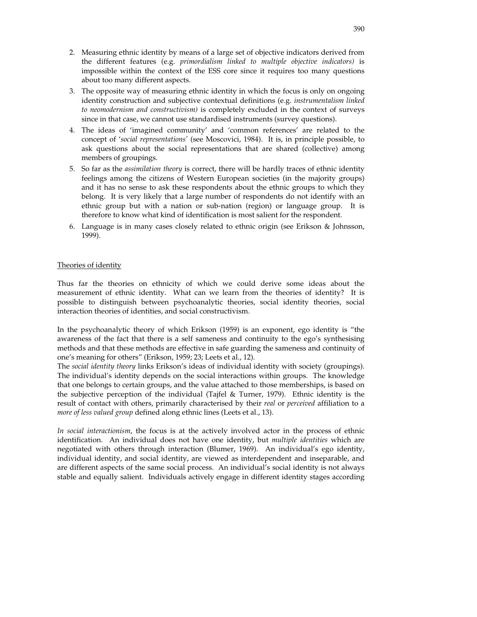- 2. Measuring ethnic identity by means of a large set of objective indicators derived from the different features (e.g. *primordialism linked to multiple objective indicators)* is impossible within the context of the ESS core since it requires too many questions about too many different aspects.
- 3. The opposite way of measuring ethnic identity in which the focus is only on ongoing identity construction and subjective contextual definitions (e.g. *instrumentalism linked to neomodernism and constructivism)* is completely excluded in the context of surveys since in that case, we cannot use standardised instruments (survey questions).
- 4. The ideas of 'imagined community' and 'common references' are related to the concept of '*social representations'* (see Moscovici, 1984). It is, in principle possible, to ask questions about the social representations that are shared (collective) among members of groupings.
- 5. So far as the *assimilation theory* is correct, there will be hardly traces of ethnic identity feelings among the citizens of Western European societies (in the majority groups) and it has no sense to ask these respondents about the ethnic groups to which they belong. It is very likely that a large number of respondents do not identify with an ethnic group but with a nation or sub-nation (region) or language group. It is therefore to know what kind of identification is most salient for the respondent.
- 6. Language is in many cases closely related to ethnic origin (see Erikson & Johnsson, 1999).

# Theories of identity

Thus far the theories on ethnicity of which we could derive some ideas about the measurement of ethnic identity. What can we learn from the theories of identity? It is possible to distinguish between psychoanalytic theories, social identity theories, social interaction theories of identities, and social constructivism.

In the psychoanalytic theory of which Erikson (1959) is an exponent, ego identity is "the awareness of the fact that there is a self sameness and continuity to the ego's synthesising methods and that these methods are effective in safe guarding the sameness and continuity of one's meaning for others" (Erikson, 1959; 23; Leets et al., 12).

The *social identity theory* links Erikson's ideas of individual identity with society (groupings). The individual's identity depends on the social interactions within groups. The knowledge that one belongs to certain groups, and the value attached to those memberships, is based on the subjective perception of the individual (Tajfel & Turner, 1979). Ethnic identity is the result of contact with others, primarily characterised by their *real* or *perceived* affiliation to a *more of less valued group* defined along ethnic lines (Leets et al., 13).

*In social interactionism*, the focus is at the actively involved actor in the process of ethnic identification. An individual does not have one identity, but *multiple identities* which are negotiated with others through interaction (Blumer, 1969). An individual's ego identity, individual identity, and social identity, are viewed as interdependent and inseparable, and are different aspects of the same social process. An individual's social identity is not always stable and equally salient. Individuals actively engage in different identity stages according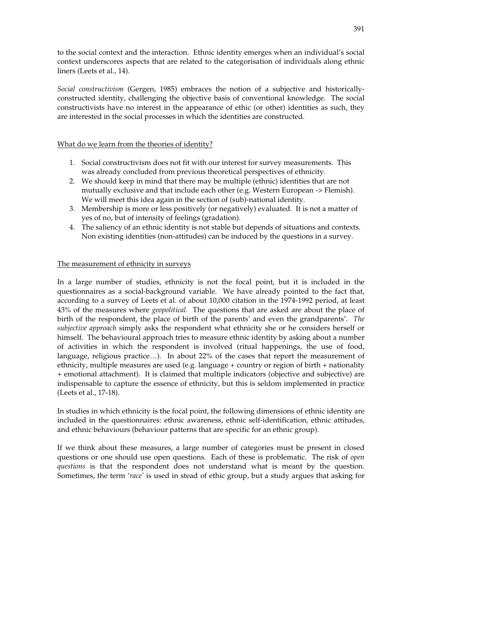to the social context and the interaction. Ethnic identity emerges when an individual's social context underscores aspects that are related to the categorisation of individuals along ethnic liners (Leets et al., 14).

*Social constructivism* (Gergen, 1985) embraces the notion of a subjective and historicallyconstructed identity, challenging the objective basis of conventional knowledge. The social constructivists have no interest in the appearance of ethic (or other) identities as such, they are interested in the social processes in which the identities are constructed.

# What do we learn from the theories of identity?

- 1. Social constructivism does not fit with our interest for survey measurements. This was already concluded from previous theoretical perspectives of ethnicity.
- 2. We should keep in mind that there may be multiple (ethnic) identities that are not mutually exclusive and that include each other (e.g. Western European -> Flemish). We will meet this idea again in the section of (sub)-national identity.
- 3. Membership is more or less positively (or negatively) evaluated. It is not a matter of yes of no, but of intensity of feelings (gradation).
- 4. The saliency of an ethnic identity is not stable but depends of situations and contexts. Non existing identities (non-attitudes) can be induced by the questions in a survey.

# The measurement of ethnicity in surveys

In a large number of studies, ethnicity is not the focal point, but it is included in the questionnaires as a social-background variable. We have already pointed to the fact that, according to a survey of Leets et al. of about 10,000 citation in the 1974-1992 period, at least 43% of the measures where *geopolitical.* The questions that are asked are about the place of birth of the respondent, the place of birth of the parents' and even the grandparents'. *The subjective approach* simply asks the respondent what ethnicity she or he considers herself or himself. The behavioural approach tries to measure ethnic identity by asking about a number of activities in which the respondent is involved (ritual happenings, the use of food, language, religious practice…). In about 22% of the cases that report the measurement of ethnicity, multiple measures are used (e.g. language + country or region of birth + nationality + emotional attachment). It is claimed that multiple indicators (objective and subjective) are indispensable to capture the essence of ethnicity, but this is seldom implemented in practice (Leets et al., 17-18).

In studies in which ethnicity is the focal point, the following dimensions of ethnic identity are included in the questionnaires: ethnic awareness, ethnic self-identification, ethnic attitudes, and ethnic behaviours (behaviour patterns that are specific for an ethnic group).

If we think about these measures, a large number of categories must be present in closed questions or one should use open questions. Each of these is problematic. The risk of *open questions* is that the respondent does not understand what is meant by the question. Sometimes, the term '*race'* is used in stead of ethic group, but a study argues that asking for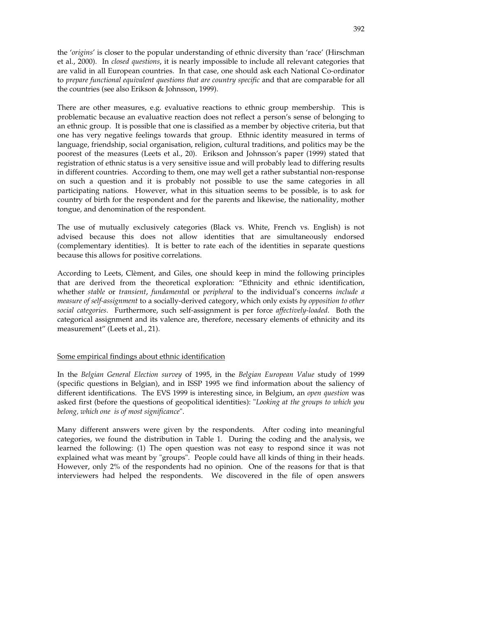the '*origins*' is closer to the popular understanding of ethnic diversity than 'race' (Hirschman et al., 2000). In *closed questions*, it is nearly impossible to include all relevant categories that are valid in all European countries. In that case, one should ask each National Co-ordinator to *prepare functional equivalent questions that are country specific* and that are comparable for all the countries (see also Erikson & Johnsson, 1999).

There are other measures, e.g. evaluative reactions to ethnic group membership. This is problematic because an evaluative reaction does not reflect a person's sense of belonging to an ethnic group. It is possible that one is classified as a member by objective criteria, but that one has very negative feelings towards that group. Ethnic identity measured in terms of language, friendship, social organisation, religion, cultural traditions, and politics may be the poorest of the measures (Leets et al., 20). Erikson and Johnsson's paper (1999) stated that registration of ethnic status is a very sensitive issue and will probably lead to differing results in different countries. According to them, one may well get a rather substantial non-response on such a question and it is probably not possible to use the same categories in all participating nations. However, what in this situation seems to be possible, is to ask for country of birth for the respondent and for the parents and likewise, the nationality, mother tongue, and denomination of the respondent.

The use of mutually exclusively categories (Black vs. White, French vs. English) is not advised because this does not allow identities that are simultaneously endorsed (complementary identities). It is better to rate each of the identities in separate questions because this allows for positive correlations.

According to Leets, Clèment, and Giles, one should keep in mind the following principles that are derived from the theoretical exploration: "Ethnicity and ethnic identification, whether *stable* or *transient*, *fundamenta*l or *peripheral* to the individual's concerns *include a measure of self-assignment* to a socially-derived category, which only exists *by opposition to other social categories*. Furthermore, such self-assignment is per force *affectively-loaded*. Both the categorical assignment and its valence are, therefore, necessary elements of ethnicity and its measurement" (Leets et al., 21).

#### Some empirical findings about ethnic identification

In the *Belgian General Election survey* of 1995, in the *Belgian European Value* study of 1999 (specific questions in Belgian), and in ISSP 1995 we find information about the saliency of different identifications. The EVS 1999 is interesting since, in Belgium, an *open question* was asked first (before the questions of geopolitical identities): "*Looking at the groups to which you belong, which one is of most significance*".

Many different answers were given by the respondents. After coding into meaningful categories, we found the distribution in Table 1. During the coding and the analysis, we learned the following: (1) The open question was not easy to respond since it was not explained what was meant by "groups". People could have all kinds of thing in their heads. However, only 2% of the respondents had no opinion. One of the reasons for that is that interviewers had helped the respondents. We discovered in the file of open answers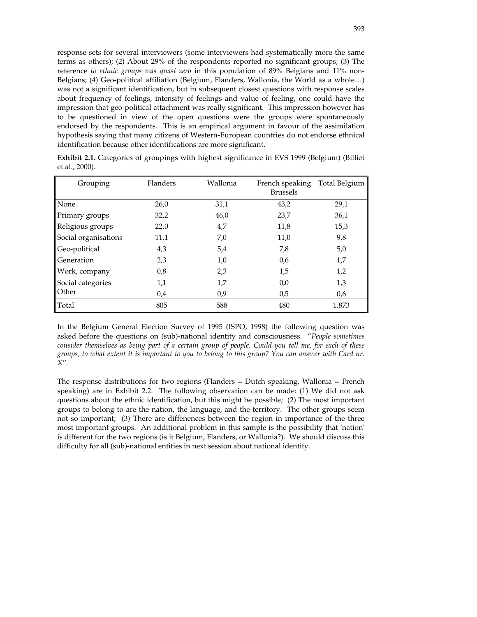response sets for several interviewers (some interviewers had systematically more the same terms as others); (2) About 29% of the respondents reported no significant groups; (3) The reference *to ethnic groups was quasi zero* in this population of 89% Belgians and 11% non-Belgians; (4) Geo-political affiliation (Belgium, Flanders, Wallonia, the World as a whole…) was not a significant identification, but in subsequent closest questions with response scales about frequency of feelings, intensity of feelings and value of feeling, one could have the impression that geo-political attachment was really significant. This impression however has to be questioned in view of the open questions were the groups were spontaneously endorsed by the respondents. This is an empirical argument in favour of the assimilation hypothesis saying that many citizens of Western-European countries do not endorse ethnical identification because other identifications are more significant.

| Grouping             | Flanders | Wallonia       | French speaking<br><b>Brussels</b> | Total Belgium |
|----------------------|----------|----------------|------------------------------------|---------------|
| None                 | 26,0     | 31,1           | 43,2                               | 29,1          |
| Primary groups       | 32,2     | 46,0           | 23,7                               | 36,1          |
| Religious groups     | 22,0     | 4,7            | 11,8                               | 15,3          |
| Social organisations | 11,1     | 7,0            | 11,0                               | 9,8           |
| Geo-political        | 4,3      | 5 <sub>A</sub> | 7,8                                | 5,0           |
| Generation           | 2,3      | 1,0            | 0,6                                | 1,7           |
| Work, company        | 0,8      | 2,3            | 1,5                                | 1,2           |
| Social categories    | 1,1      | 1,7            | 0,0                                | 1,3           |
| Other                | 0.4      | 0,9            | 0.5                                | 0,6           |
| Total                | 805      | 588            | 480                                | 1.873         |

**Exhibit 2.1.** Categories of groupings with highest significance in EVS 1999 (Belgium) (Billiet et al., 2000).

In the Belgium General Election Survey of 1995 (ISPO, 1998) the following question was asked before the questions on (sub)-national identity and consciousness. "*People sometimes consider themselves as being part of a certain group of people. Could you tell me, for each of these groups, to what extent it is important to you to belong to this group? You can answer with Card nr. X*".

The response distributions for two regions (Flanders = Dutch speaking, Wallonia = French speaking) are in Exhibit 2.2. The following observation can be made: (1) We did not ask questions about the ethnic identification, but this might be possible; (2) The most important groups to belong to are the nation, the language, and the territory. The other groups seem not so important; (3) There are diffenences between the region in importance of the three most important groups. An additional problem in this sample is the possibility that 'nation' is different for the two regions (is it Belgium, Flanders, or Wallonia?). We should discuss this difficulty for all (sub)-national entities in next session about national identity.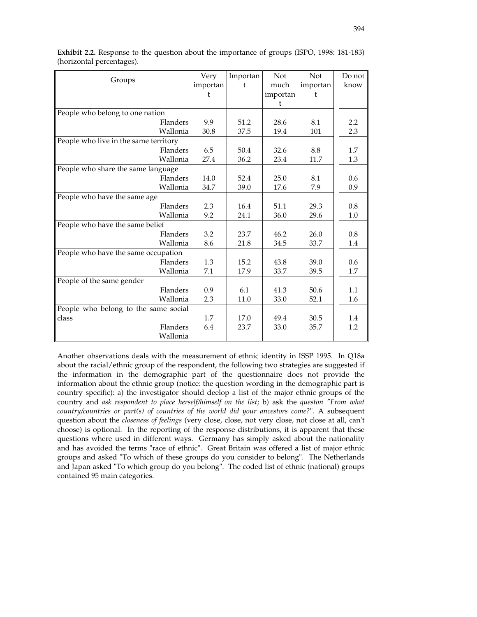| Groups                                | Very     | Importan | Not      | Not      | Do not |
|---------------------------------------|----------|----------|----------|----------|--------|
|                                       | importan | t        | much     | importan | know   |
|                                       |          |          | importan | t        |        |
|                                       |          |          | t        |          |        |
| People who belong to one nation       |          |          |          |          |        |
| Flanders                              | 9.9      | 51.2     | 28.6     | 8.1      | 2.2    |
| Wallonia                              | 30.8     | 37.5     | 19.4     | 101      | 2.3    |
| People who live in the same territory |          |          |          |          |        |
| Flanders                              | 6.5      | 50.4     | 32.6     | 8.8      | 1.7    |
| Wallonia                              | 27.4     | 36.2     | 23.4     | 11.7     | 1.3    |
| People who share the same language    |          |          |          |          |        |
| Flanders                              | 14.0     | 52.4     | 25.0     | 8.1      | 0.6    |
| Wallonia                              | 34.7     | 39.0     | 17.6     | 7.9      | 0.9    |
| People who have the same age          |          |          |          |          |        |
| Flanders                              | 2.3      | 16.4     | 51.1     | 29.3     | 0.8    |
| Wallonia                              | 9.2      | 24.1     | 36.0     | 29.6     | 1.0    |
| People who have the same belief       |          |          |          |          |        |
| Flanders                              | 3.2      | 23.7     | 46.2     | 26.0     | 0.8    |
| Wallonia                              | 8.6      | 21.8     | 34.5     | 33.7     | 1.4    |
| People who have the same occupation   |          |          |          |          |        |
| Flanders                              | 1.3      | 15.2     | 43.8     | 39.0     | 0.6    |
| Wallonia                              | 7.1      | 17.9     | 33.7     | 39.5     | 1.7    |
| People of the same gender             |          |          |          |          |        |
| Flanders                              | 0.9      | 6.1      | 41.3     | 50.6     | 1.1    |
| Wallonia                              | 2.3      | 11.0     | 33.0     | 52.1     | 1.6    |
| People who belong to the same social  |          |          |          |          |        |
| class                                 | 1.7      | 17.0     | 49.4     | 30.5     | 1.4    |
| Flanders                              | 6.4      | 23.7     | 33.0     | 35.7     | 1.2    |
| Wallonia                              |          |          |          |          |        |

**Exhibit 2.2.** Response to the question about the importance of groups (ISPO, 1998: 181-183) (horizontal percentages).

Another observations deals with the measurement of ethnic identity in ISSP 1995. In Q18a about the racial/ethnic group of the respondent, the following two strategies are suggested if the information in the demographic part of the questionnaire does not provide the information about the ethnic group (notice: the question wording in the demographic part is country specific): a) the investigator should deelop a list of the major ethnic groups of the country and *ask respondent to place herself/himself on the list*; b) ask the *queston "From what country/countries or part(s) of countries of the world did your ancestors come?*". A subsequent question about the *closeness of feelings* (very close, close, not very close, not close at all, can't choose) is optional. In the reporting of the response distributions, it is apparent that these questions where used in different ways. Germany has simply asked about the nationality and has avoided the terms "race of ethnic". Great Britain was offered a list of major ethnic groups and asked "To which of these groups do you consider to belong". The Netherlands and Japan asked "To which group do you belong". The coded list of ethnic (national) groups contained 95 main categories.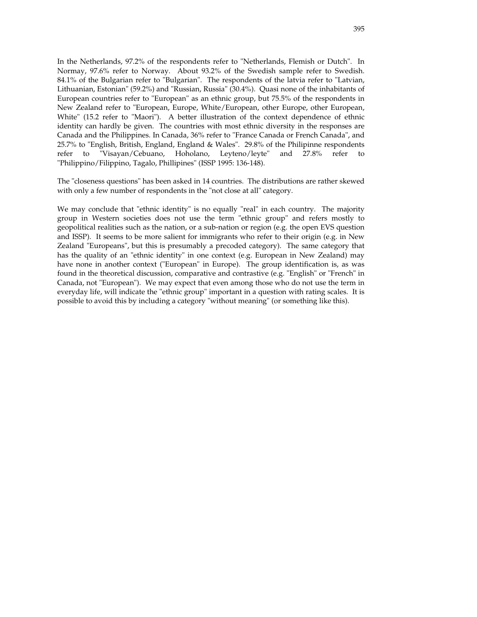In the Netherlands, 97.2% of the respondents refer to "Netherlands, Flemish or Dutch". In Normay, 97.6% refer to Norway. About 93.2% of the Swedish sample refer to Swedish. 84.1% of the Bulgarian refer to "Bulgarian". The respondents of the latvia refer to "Latvian, Lithuanian, Estonian" (59.2%) and "Russian, Russia" (30.4%). Quasi none of the inhabitants of European countries refer to "European" as an ethnic group, but 75.5% of the respondents in New Zealand refer to "European, Europe, White/European, other Europe, other European, White" (15.2 refer to "Maori"). A better illustration of the context dependence of ethnic identity can hardly be given. The countries with most ethnic diversity in the responses are Canada and the Philippines. In Canada, 36% refer to "France Canada or French Canada", and 25.7% to "English, British, England, England & Wales". 29.8% of the Philipinne respondents refer to "Visayan/Cebuano, Hoholano, Leyteno/leyte" and 27.8% refer to "Philippino/Filippino, Tagalo, Phillipines" (ISSP 1995: 136-148).

The "closeness questions" has been asked in 14 countries. The distributions are rather skewed with only a few number of respondents in the "not close at all" category.

We may conclude that "ethnic identity" is no equally "real" in each country. The majority group in Western societies does not use the term "ethnic group" and refers mostly to geopolitical realities such as the nation, or a sub-nation or region (e.g. the open EVS question and ISSP). It seems to be more salient for immigrants who refer to their origin (e.g. in New Zealand "Europeans", but this is presumably a precoded category). The same category that has the quality of an "ethnic identity" in one context (e.g. European in New Zealand) may have none in another context ("European" in Europe). The group identification is, as was found in the theoretical discussion, comparative and contrastive (e.g. "English" or "French" in Canada, not "European"). We may expect that even among those who do not use the term in everyday life, will indicate the "ethnic group" important in a question with rating scales. It is possible to avoid this by including a category "without meaning" (or something like this).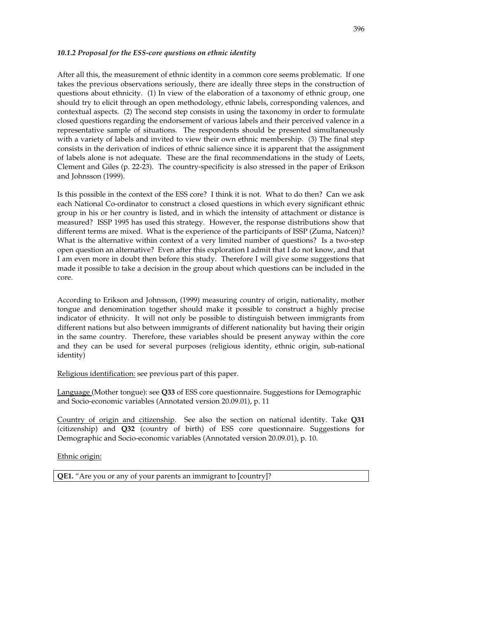#### *10.1.2 Proposal for the ESS-core questions on ethnic identity*

After all this, the measurement of ethnic identity in a common core seems problematic. If one takes the previous observations seriously, there are ideally three steps in the construction of questions about ethnicity. (1) In view of the elaboration of a taxonomy of ethnic group, one should try to elicit through an open methodology, ethnic labels, corresponding valences, and contextual aspects. (2) The second step consists in using the taxonomy in order to formulate closed questions regarding the endorsement of various labels and their perceived valence in a representative sample of situations. The respondents should be presented simultaneously with a variety of labels and invited to view their own ethnic membership. (3) The final step consists in the derivation of indices of ethnic salience since it is apparent that the assignment of labels alone is not adequate. These are the final recommendations in the study of Leets, Clement and Giles (p. 22-23). The country-specificity is also stressed in the paper of Erikson and Johnsson (1999).

Is this possible in the context of the ESS core? I think it is not. What to do then? Can we ask each National Co-ordinator to construct a closed questions in which every significant ethnic group in his or her country is listed, and in which the intensity of attachment or distance is measured? ISSP 1995 has used this strategy. However, the response distributions show that different terms are mixed. What is the experience of the participants of ISSP (Zuma, Natcen)? What is the alternative within context of a very limited number of questions? Is a two-step open question an alternative? Even after this exploration I admit that I do not know, and that I am even more in doubt then before this study. Therefore I will give some suggestions that made it possible to take a decision in the group about which questions can be included in the core.

According to Erikson and Johnsson, (1999) measuring country of origin, nationality, mother tongue and denomination together should make it possible to construct a highly precise indicator of ethnicity. It will not only be possible to distinguish between immigrants from different nations but also between immigrants of different nationality but having their origin in the same country. Therefore, these variables should be present anyway within the core and they can be used for several purposes (religious identity, ethnic origin, sub-national identity)

Religious identification: see previous part of this paper.

Language (Mother tongue): see **Q33** of ESS core questionnaire. Suggestions for Demographic and Socio-economic variables (Annotated version 20.09.01), p. 11

Country of origin and citizenship. See also the section on national identity. Take **Q31** (citizenship) and **Q32** (country of birth) of ESS core questionnaire. Suggestions for Demographic and Socio-economic variables (Annotated version 20.09.01), p. 10.

Ethnic origin:

**QE1.** "Are you or any of your parents an immigrant to [country]?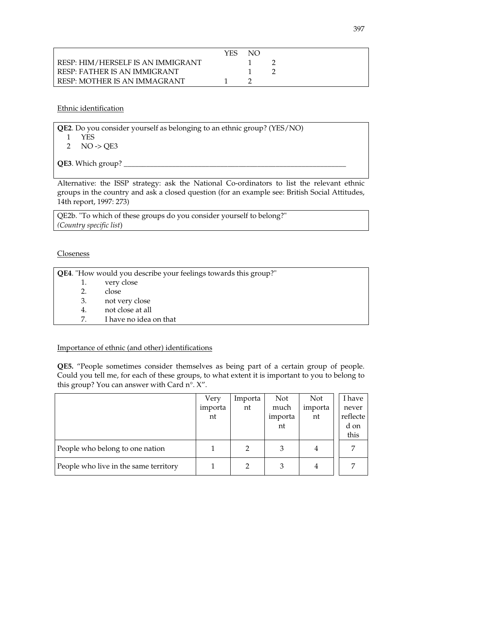|                                   | YES. | NO. |  |
|-----------------------------------|------|-----|--|
| RESP: HIM/HERSELF IS AN IMMIGRANT |      |     |  |
| RESP: FATHER IS AN IMMIGRANT      |      |     |  |
| RESP: MOTHER IS AN IMMAGRANT      |      |     |  |

Ethnic identification

**QE2**. Do you consider yourself as belonging to an ethnic group? (YES/NO) 1 YES

2 NO -> QE3

QE3. Which group?

Alternative: the ISSP strategy: ask the National Co-ordinators to list the relevant ethnic groups in the country and ask a closed question (for an example see: British Social Attitudes, 14th report, 1997: 273)

QE2b. "To which of these groups do you consider yourself to belong?" *(Country specific list*)

Closeness

|    | <b>QE4</b> . "How would you describe your feelings towards this group?" |
|----|-------------------------------------------------------------------------|
| 1. | very close                                                              |
| 2. | close                                                                   |
| 3. | not very close                                                          |
| 4. | not close at all                                                        |
| 7. | I have no idea on that                                                  |

# Importance of ethnic (and other) identifications

**QE5.** "People sometimes consider themselves as being part of a certain group of people. Could you tell me, for each of these groups, to what extent it is important to you to belong to this group? You can answer with Card n°. X".

|                                       | Very    | Importa | Not     | Not     | I have   |
|---------------------------------------|---------|---------|---------|---------|----------|
|                                       | importa | nt      | much    | importa | never    |
|                                       | nt      |         | importa | nt      | reflecte |
|                                       |         |         | nt      |         | d on     |
|                                       |         |         |         |         | this     |
| People who belong to one nation       |         |         |         | 4       |          |
| People who live in the same territory |         |         | З       | 4       |          |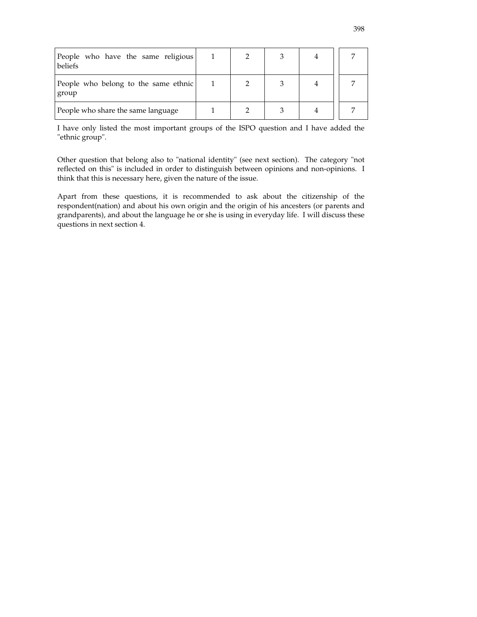| People who have the same religious<br>beliefs |  |  |  |
|-----------------------------------------------|--|--|--|
| People who belong to the same ethnic<br>group |  |  |  |
| People who share the same language            |  |  |  |

I have only listed the most important groups of the ISPO question and I have added the "ethnic group".

Other question that belong also to "national identity" (see next section). The category "not reflected on this" is included in order to distinguish between opinions and non-opinions. I think that this is necessary here, given the nature of the issue.

Apart from these questions, it is recommended to ask about the citizenship of the respondent(nation) and about his own origin and the origin of his ancesters (or parents and grandparents), and about the language he or she is using in everyday life. I will discuss these questions in next section 4.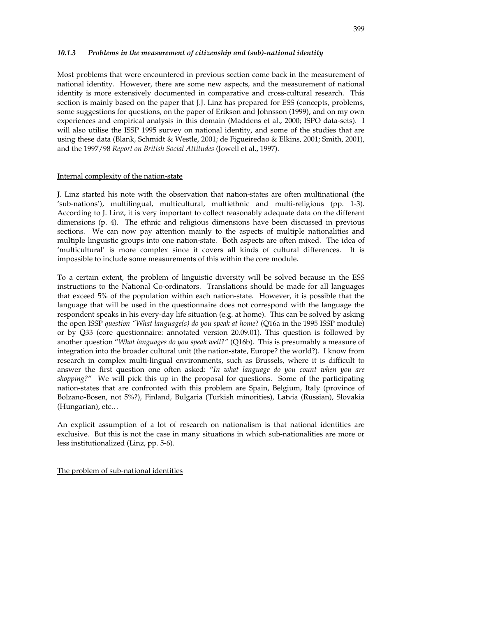#### *10.1.3 Problems in the measurement of citizenship and (sub)-national identity*

Most problems that were encountered in previous section come back in the measurement of national identity. However, there are some new aspects, and the measurement of national identity is more extensively documented in comparative and cross-cultural research. This section is mainly based on the paper that J.J. Linz has prepared for ESS (concepts, problems, some suggestions for questions, on the paper of Erikson and Johnsson (1999), and on my own experiences and empirical analysis in this domain (Maddens et al., 2000; ISPO data-sets). I will also utilise the ISSP 1995 survey on national identity, and some of the studies that are using these data (Blank, Schmidt & Westle, 2001; de Figueiredao & Elkins, 2001; Smith, 2001), and the 1997/98 *Report on British Social Attitudes* (Jowell et al., 1997).

#### Internal complexity of the nation-state

J. Linz started his note with the observation that nation-states are often multinational (the 'sub-nations'), multilingual, multicultural, multiethnic and multi-religious (pp. 1-3). According to J. Linz, it is very important to collect reasonably adequate data on the different dimensions (p. 4). The ethnic and religious dimensions have been discussed in previous sections. We can now pay attention mainly to the aspects of multiple nationalities and multiple linguistic groups into one nation-state. Both aspects are often mixed. The idea of 'multicultural' is more complex since it covers all kinds of cultural differences. It is impossible to include some measurements of this within the core module.

To a certain extent, the problem of linguistic diversity will be solved because in the ESS instructions to the National Co-ordinators. Translations should be made for all languages that exceed 5% of the population within each nation-state. However, it is possible that the language that will be used in the questionnaire does not correspond with the language the respondent speaks in his every-day life situation (e.g. at home). This can be solved by asking the open ISSP *question "What language(s) do you speak at home*? (Q16a in the 1995 ISSP module) or by Q33 (core questionnaire: annotated version 20.09.01). This question is followed by another question "*What languages do you speak well?"* (Q16b). This is presumably a measure of integration into the broader cultural unit (the nation-state, Europe? the world?). I know from research in complex multi-lingual environments, such as Brussels, where it is difficult to answer the first question one often asked: "*In what language do you count when you are shopping?*" We will pick this up in the proposal for questions. Some of the participating nation-states that are confronted with this problem are Spain, Belgium, Italy (province of Bolzano-Bosen, not 5%?), Finland, Bulgaria (Turkish minorities), Latvia (Russian), Slovakia (Hungarian), etc…

An explicit assumption of a lot of research on nationalism is that national identities are exclusive. But this is not the case in many situations in which sub-nationalities are more or less institutionalized (Linz, pp. 5-6).

The problem of sub-national identities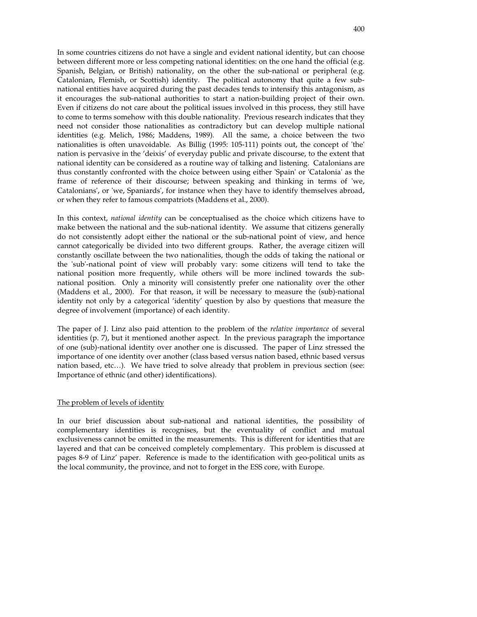In some countries citizens do not have a single and evident national identity, but can choose between different more or less competing national identities: on the one hand the official (e.g. Spanish, Belgian, or British) nationality, on the other the sub-national or peripheral (e.g. Catalonian, Flemish, or Scottish) identity. The political autonomy that quite a few subnational entities have acquired during the past decades tends to intensify this antagonism, as it encourages the sub-national authorities to start a nation-building project of their own. Even if citizens do not care about the political issues involved in this process, they still have to come to terms somehow with this double nationality. Previous research indicates that they need not consider those nationalities as contradictory but can develop multiple national identities (e.g. Melich, 1986; Maddens, 1989). All the same, a choice between the two nationalities is often unavoidable. As Billig (1995: 105-111) points out, the concept of 'the' nation is pervasive in the 'deixis' of everyday public and private discourse, to the extent that national identity can be considered as a routine way of talking and listening. Catalonians are thus constantly confronted with the choice between using either 'Spain' or 'Catalonia' as the frame of reference of their discourse; between speaking and thinking in terms of 'we, Catalonians', or 'we, Spaniards', for instance when they have to identify themselves abroad, or when they refer to famous compatriots (Maddens et al., 2000).

In this context, *national identity* can be conceptualised as the choice which citizens have to make between the national and the sub-national identity. We assume that citizens generally do not consistently adopt either the national or the sub-national point of view, and hence cannot categorically be divided into two different groups. Rather, the average citizen will constantly oscillate between the two nationalities, though the odds of taking the national or the 'sub'-national point of view will probably vary: some citizens will tend to take the national position more frequently, while others will be more inclined towards the subnational position. Only a minority will consistently prefer one nationality over the other (Maddens et al., 2000). For that reason, it will be necessary to measure the (sub)-national identity not only by a categorical 'identity' question by also by questions that measure the degree of involvement (importance) of each identity.

The paper of J. Linz also paid attention to the problem of the *relative importance* of several identities (p. 7), but it mentioned another aspect. In the previous paragraph the importance of one (sub)-national identity over another one is discussed. The paper of Linz stressed the importance of one identity over another (class based versus nation based, ethnic based versus nation based, etc…). We have tried to solve already that problem in previous section (see: Importance of ethnic (and other) identifications).

#### The problem of levels of identity

In our brief discussion about sub-national and national identities, the possibility of complementary identities is recognises, but the eventuality of conflict and mutual exclusiveness cannot be omitted in the measurements. This is different for identities that are layered and that can be conceived completely complementary. This problem is discussed at pages 8-9 of Linz' paper. Reference is made to the identification with geo-political units as the local community, the province, and not to forget in the ESS core, with Europe.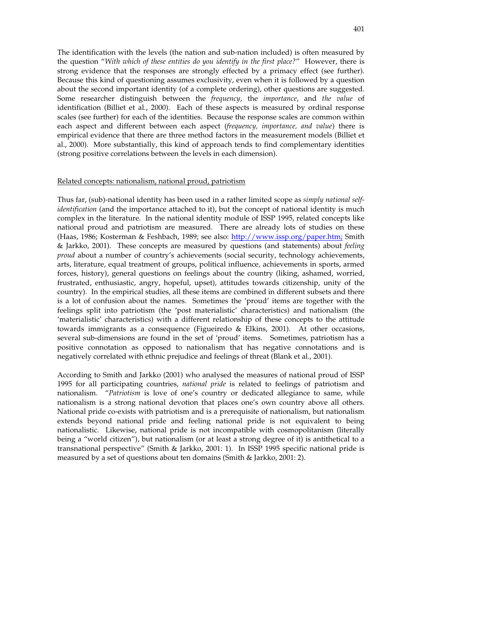The identification with the levels (the nation and sub-nation included) is often measured by the question "*With which of these entities do you identify in the first place?*" However, there is strong evidence that the responses are strongly effected by a primacy effect (see further). Because this kind of questioning assumes exclusivity, even when it is followed by a question about the second important identity (of a complete ordering), other questions are suggested. Some researcher distinguish between the *frequency*, the *importance*, and *the value* of identification (Billiet et al., 2000). Each of these aspects is measured by ordinal response scales (see further) for each of the identities. Because the response scales are common within each aspect and different between each aspect (*frequency, importance, and value*) there is empirical evidence that there are three method factors in the measurement models (Billiet et al., 2000). More substantially, this kind of approach tends to find complementary identities (strong positive correlations between the levels in each dimension).

#### Related concepts: nationalism, national proud, patriotism

Thus far, (sub)-national identity has been used in a rather limited scope as *simply national selfidentification* (and the importance attached to it), but the concept of national identity is much complex in the literature. In the national identity module of ISSP 1995, related concepts like national proud and patriotism are measured. There are already lots of studies on these (Haas, 1986; Kosterman & Feshbach, 1989; see also: http://www.issp.org/paper.htm; Smith & Jarkko, 2001). These concepts are measured by questions (and statements) about *feeling proud* about a number of country's achievements (social security, technology achievements, arts, literature, equal treatment of groups, political influence, achievements in sports, armed forces, history), general questions on feelings about the country (liking, ashamed, worried, frustrated, enthusiastic, angry, hopeful, upset), attitudes towards citizenship, unity of the country). In the empirical studies, all these items are combined in different subsets and there is a lot of confusion about the names. Sometimes the 'proud' items are together with the feelings split into patriotism (the 'post materialistic' characteristics) and nationalism (the 'materialistic' characteristics) with a different relationship of these concepts to the attitude towards immigrants as a consequence (Figueiredo & Elkins, 2001). At other occasions, several sub-dimensions are found in the set of 'proud' items. Sometimes, patriotism has a positive connotation as opposed to nationalism that has negative connotations and is negatively correlated with ethnic prejudice and feelings of threat (Blank et al., 2001).

According to Smith and Jarkko (2001) who analysed the measures of national proud of ISSP 1995 for all participating countries, *national pride* is related to feelings of patriotism and nationalism. "*Patriotism* is love of one's country or dedicated allegiance to same, while nationalism is a strong national devotion that places one's own country above all others. National pride co-exists with patriotism and is a prerequisite of nationalism, but nationalism extends beyond national pride and feeling national pride is not equivalent to being nationalistic. Likewise, national pride is not incompatible with cosmopolitanism (literally being a "world citizen"), but nationalism (or at least a strong degree of it) is antithetical to a transnational perspective" (Smith & Jarkko, 2001: 1). In ISSP 1995 specific national pride is measured by a set of questions about ten domains (Smith & Jarkko, 2001: 2).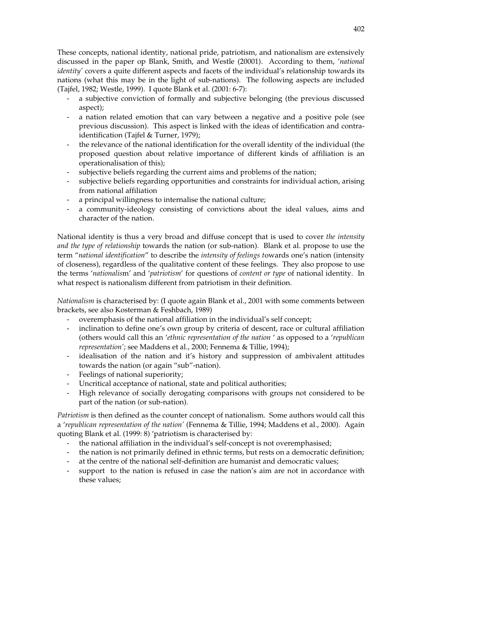These concepts, national identity, national pride, patriotism, and nationalism are extensively discussed in the paper op Blank, Smith, and Westle (20001). According to them, '*national identity'* covers a quite different aspects and facets of the individual's relationship towards its nations (what this may be in the light of sub-nations). The following aspects are included (Tajfel, 1982; Westle, 1999). I quote Blank et al. (2001: 6-7):

- a subjective conviction of formally and subjective belonging (the previous discussed aspect);
- a nation related emotion that can vary between a negative and a positive pole (see previous discussion). This aspect is linked with the ideas of identification and contraidentification (Tajfel & Turner, 1979);
- the relevance of the national identification for the overall identity of the individual (the proposed question about relative importance of different kinds of affiliation is an operationalisation of this);
- subjective beliefs regarding the current aims and problems of the nation;
- subjective beliefs regarding opportunities and constraints for individual action, arising from national affiliation
- a principal willingness to internalise the national culture;
- a community-ideology consisting of convictions about the ideal values, aims and character of the nation.

National identity is thus a very broad and diffuse concept that is used to cover *the intensity and the type of relationship* towards the nation (or sub-nation). Blank et al. propose to use the term "*national identification*" to describe the *intensity of feelings t*owards one's nation (intensity of closeness), regardless of the qualitative content of these feelings. They also propose to use the terms '*nationalis*m' and '*patriotism*' for questions of *content or type* of national identity. In what respect is nationalism different from patriotism in their definition.

*Nationalism* is characterised by: (I quote again Blank et al., 2001 with some comments between brackets, see also Kosterman & Feshbach, 1989)

- overemphasis of the national affiliation in the individual's self concept;
- inclination to define one's own group by criteria of descent, race or cultural affiliation (others would call this an '*ethnic representation of the nation* ' as opposed to a '*republican representation'*; see Maddens et al., 2000; Fennema & Tillie, 1994);
- idealisation of the nation and it's history and suppression of ambivalent attitudes towards the nation (or again "sub"-nation).
- Feelings of national superiority;
- Uncritical acceptance of national, state and political authorities;
- High relevance of socially derogating comparisons with groups not considered to be part of the nation (or sub-nation).

*Patriotism* is then defined as the counter concept of nationalism. Some authors would call this a '*republican representation of the nation'* (Fennema & Tillie, 1994; Maddens et al., 2000). Again quoting Blank et al. (1999: 8) 'patriotism is characterised by:

- the national affiliation in the individual's self-concept is not overemphasised;
- the nation is not primarily defined in ethnic terms, but rests on a democratic definition;
- at the centre of the national self-definition are humanist and democratic values;
- support to the nation is refused in case the nation's aim are not in accordance with these values;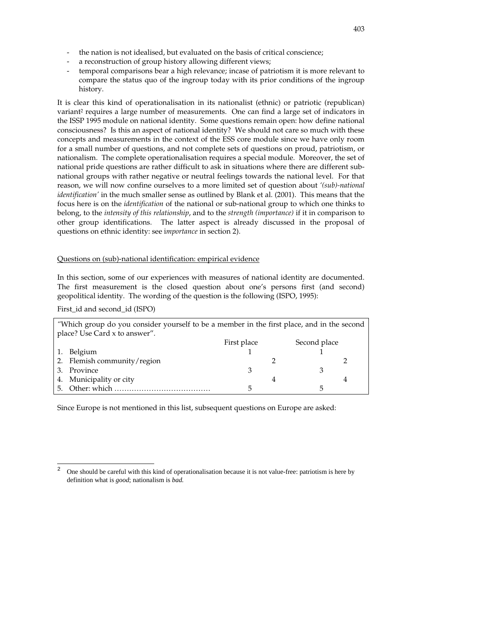- the nation is not idealised, but evaluated on the basis of critical conscience;
- a reconstruction of group history allowing different views;
- temporal comparisons bear a high relevance; incase of patriotism it is more relevant to compare the status quo of the ingroup today with its prior conditions of the ingroup history.

It is clear this kind of operationalisation in its nationalist (ethnic) or patriotic (republican) variant<sup>2</sup> requires a large number of measurements. One can find a large set of indicators in the ISSP 1995 module on national identity. Some questions remain open: how define national consciousness? Is this an aspect of national identity? We should not care so much with these concepts and measurements in the context of the ESS core module since we have only room for a small number of questions, and not complete sets of questions on proud, patriotism, or nationalism. The complete operationalisation requires a special module. Moreover, the set of national pride questions are rather difficult to ask in situations where there are different subnational groups with rather negative or neutral feelings towards the national level. For that reason, we will now confine ourselves to a more limited set of question about *'(sub)-national identification'* in the much smaller sense as outlined by Blank et al. (2001). This means that the focus here is on the *identification* of the national or sub-national group to which one thinks to belong, to the *intensity of this relationship*, and to the *strength (importance)* if it in comparison to other group identifications. The latter aspect is already discussed in the proposal of questions on ethnic identity: see i*mportance* in section 2).

#### Questions on (sub)-national identification: empirical evidence

In this section, some of our experiences with measures of national identity are documented. The first measurement is the closed question about one's persons first (and second) geopolitical identity. The wording of the question is the following (ISPO, 1995):

First\_id and second\_id (ISPO)

 $\overline{a}$ 

| "Which group do you consider yourself to be a member in the first place, and in the second |             |   |              |  |
|--------------------------------------------------------------------------------------------|-------------|---|--------------|--|
| place? Use Card x to answer".                                                              |             |   |              |  |
|                                                                                            | First place |   | Second place |  |
| 1. Belgium                                                                                 |             |   |              |  |
| 2. Flemish community/region                                                                |             |   |              |  |
| 3. Province                                                                                |             |   |              |  |
| 4. Municipality or city                                                                    |             | 4 |              |  |
|                                                                                            | 5           |   | h            |  |

Since Europe is not mentioned in this list, subsequent questions on Europe are asked:

<sup>2</sup> One should be careful with this kind of operationalisation because it is not value-free: patriotism is here by definition what is *good*; nationalism is *bad.*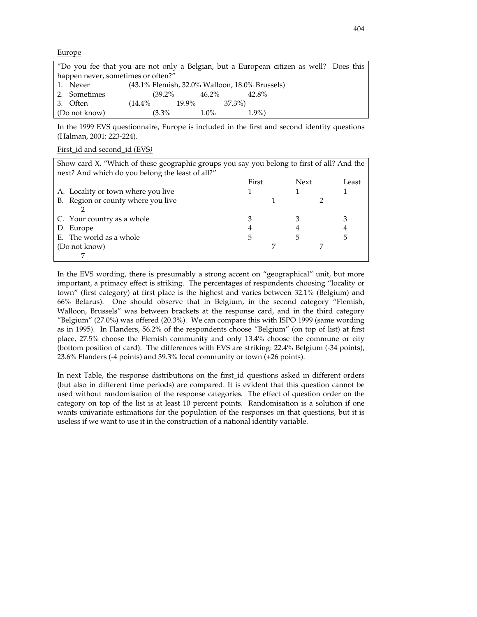#### **Europe**

|                                    | "Do you fee that you are not only a Belgian, but a European citizen as well? Does this |                                                |       |         |        |         |  |
|------------------------------------|----------------------------------------------------------------------------------------|------------------------------------------------|-------|---------|--------|---------|--|
| happen never, sometimes or often?" |                                                                                        |                                                |       |         |        |         |  |
|                                    | 1. Never                                                                               | (43.1% Flemish, 32.0% Walloon, 18.0% Brussels) |       |         |        |         |  |
|                                    | 2. Sometimes                                                                           | $(39.2\%$                                      |       | 46.2%   |        | 42.8%   |  |
|                                    | 3. Often                                                                               | $(14.4\%$                                      | 19.9% |         | 37.3%) |         |  |
|                                    | (Do not know)                                                                          | $(3.3\%$                                       |       | $1.0\%$ |        | $1.9\%$ |  |

In the 1999 EVS questionnaire, Europe is included in the first and second identity questions (Halman, 2001: 223-224).

#### First\_id and second\_id (EVS*)*

| Show card X. "Which of these geographic groups you say you belong to first of all? And the |       |             |       |
|--------------------------------------------------------------------------------------------|-------|-------------|-------|
| next? And which do you belong the least of all?"                                           |       |             |       |
|                                                                                            | First | <b>Next</b> | Least |
| A. Locality or town where you live                                                         |       |             |       |
| B. Region or county where you live                                                         |       |             |       |
|                                                                                            |       |             |       |
| C. Your country as a whole                                                                 |       |             |       |
| D. Europe                                                                                  | 4     |             |       |
| E. The world as a whole                                                                    | 5     | 5           | 5     |
| (Do not know)                                                                              |       |             |       |
|                                                                                            |       |             |       |

In the EVS wording, there is presumably a strong accent on "geographical" unit, but more important, a primacy effect is striking. The percentages of respondents choosing "locality or town" (first category) at first place is the highest and varies between 32.1% (Belgium) and 66% Belarus). One should observe that in Belgium, in the second category "Flemish, Walloon, Brussels" was between brackets at the response card, and in the third category "Belgium" (27.0%) was offered (20.3%). We can compare this with ISPO 1999 (same wording as in 1995). In Flanders, 56.2% of the respondents choose "Belgium" (on top of list) at first place, 27.5% choose the Flemish community and only 13.4% choose the commune or city (bottom position of card). The differences with EVS are striking: 22.4% Belgium (-34 points), 23.6% Flanders (-4 points) and 39.3% local community or town (+26 points).

In next Table, the response distributions on the first\_id questions asked in different orders (but also in different time periods) are compared. It is evident that this question cannot be used without randomisation of the response categories. The effect of question order on the category on top of the list is at least 10 percent points. Randomisation is a solution if one wants univariate estimations for the population of the responses on that questions, but it is useless if we want to use it in the construction of a national identity variable.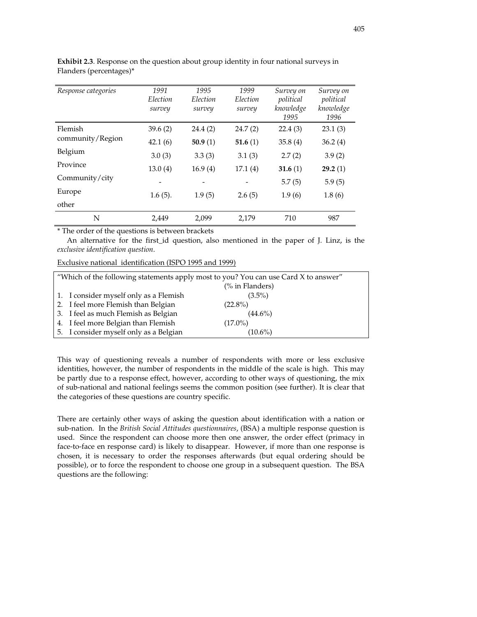| Response categories | 1991       | 1995       | 1999       | Survey on         | Survey on         |
|---------------------|------------|------------|------------|-------------------|-------------------|
|                     | Election   | Election   | Election   | political         | political         |
|                     | survey     | survey     | survey     | knowledge<br>1995 | knowledge<br>1996 |
|                     |            |            |            |                   |                   |
| Flemish             | 39.6(2)    | 24.4 (2)   | 24.7(2)    | 22.4(3)           | 23.1(3)           |
| community/Region    | 42.1(6)    | 50.9 $(1)$ | 51.6 $(1)$ | 35.8(4)           | 36.2(4)           |
| Belgium             | 3.0(3)     | 3.3(3)     | 3.1(3)     | 2.7(2)            | 3.9(2)            |
| Province            | 13.0(4)    | 16.9(4)    | 17.1(4)    | 31.6 $(1)$        | 29.2(1)           |
| Community/city      |            |            |            | 5.7(5)            | 5.9(5)            |
| Europe              |            |            |            |                   |                   |
| other               | $1.6(5)$ . | 1.9(5)     | 2.6(5)     | 1.9(6)            | 1.8(6)            |
|                     |            |            |            |                   |                   |
| N                   | 2.449      | 2,099      | 2,179      | 710               | 987               |

**Exhibit 2.3**. Response on the question about group identity in four national surveys in Flanders (percentages)\*

\* The order of the questions is between brackets

An alternative for the first\_id question, also mentioned in the paper of J. Linz, is the *exclusive identification question*.

Exclusive national identification (ISPO 1995 and 1999)

| "Which of the following statements apply most to you? You can use Card X to answer" |                            |  |  |  |
|-------------------------------------------------------------------------------------|----------------------------|--|--|--|
|                                                                                     | $\frac{9}{6}$ in Flanders) |  |  |  |
| 1. I consider myself only as a Flemish                                              | $(3.5\%)$                  |  |  |  |
| 2. I feel more Flemish than Belgian                                                 | $(22.8\%)$                 |  |  |  |
| 3. I feel as much Flemish as Belgian                                                | $(44.6\%)$                 |  |  |  |
| 4. I feel more Belgian than Flemish                                                 | $(17.0\%)$                 |  |  |  |
| 5. I consider myself only as a Belgian                                              | $(10.6\%)$                 |  |  |  |

This way of questioning reveals a number of respondents with more or less exclusive identities, however, the number of respondents in the middle of the scale is high. This may be partly due to a response effect, however, according to other ways of questioning, the mix of sub-national and national feelings seems the common position (see further). It is clear that the categories of these questions are country specific.

There are certainly other ways of asking the question about identification with a nation or sub-nation. In the *British Social Attitudes questionnaires*, (BSA) a multiple response question is used. Since the respondent can choose more then one answer, the order effect (primacy in face-to-face en response card) is likely to disappear. However, if more than one response is chosen, it is necessary to order the responses afterwards (but equal ordering should be possible), or to force the respondent to choose one group in a subsequent question. The BSA questions are the following: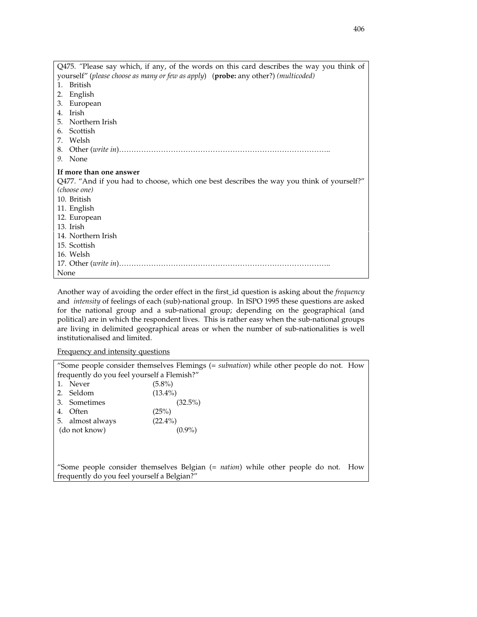| Q475. "Please say which, if any, of the words on this card describes the way you think of |
|-------------------------------------------------------------------------------------------|
| yourself" (please choose as many or few as apply) (probe: any other?) (multicoded)        |
| British<br>$1_{-}$                                                                        |
| English<br>2.                                                                             |
| European<br>3.                                                                            |
| Irish<br>4.                                                                               |
| 5. Northern Irish                                                                         |
| 6. Scottish                                                                               |
| 7. Welsh                                                                                  |
| 8.                                                                                        |
| 9. None                                                                                   |
| If more than one answer                                                                   |
| Q477. "And if you had to choose, which one best describes the way you think of yourself?" |
| (choose one)                                                                              |
| 10. British                                                                               |
| 11. English                                                                               |
| 12. European                                                                              |
| 13. Irish                                                                                 |
| 14. Northern Irish                                                                        |
| 15. Scottish                                                                              |
| 16. Welsh                                                                                 |
|                                                                                           |
| None                                                                                      |

Another way of avoiding the order effect in the first\_id question is asking about the *frequency* and *intensity* of feelings of each (sub)-national group. In ISPO 1995 these questions are asked for the national group and a sub-national group; depending on the geographical (and political) are in which the respondent lives. This is rather easy when the sub-national groups are living in delimited geographical areas or when the number of sub-nationalities is well institutionalised and limited.

Frequency and intensity questions

|                                             | "Some people consider themselves Flemings (= subnation) while other people do not. How     |  |
|---------------------------------------------|--------------------------------------------------------------------------------------------|--|
| frequently do you feel yourself a Flemish?" |                                                                                            |  |
| 1. Never                                    | $(5.8\%)$                                                                                  |  |
| 2. Seldom                                   | $(13.4\%)$                                                                                 |  |
| 3. Sometimes                                | $(32.5\%)$                                                                                 |  |
| Often<br>4.                                 | (25%)                                                                                      |  |
| 5. almost always                            | $(22.4\%)$                                                                                 |  |
| (do not know)                               | $(0.9\%)$                                                                                  |  |
|                                             |                                                                                            |  |
|                                             |                                                                                            |  |
|                                             |                                                                                            |  |
|                                             | "Some people consider themselves Belgian (= <i>nation</i> ) while other people do not. How |  |
| frequently do you feel yourself a Belgian?" |                                                                                            |  |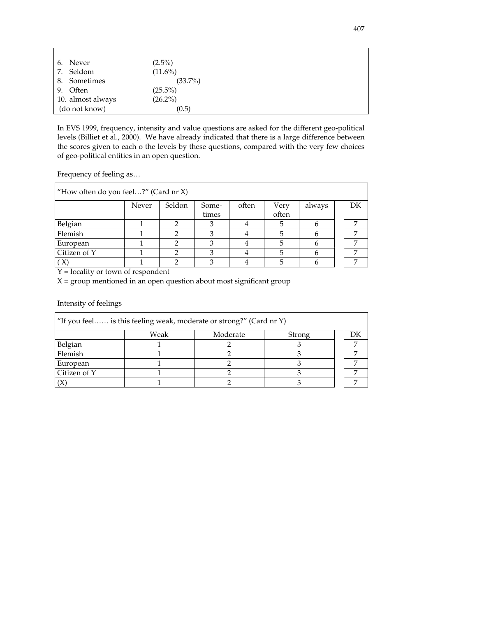| 6. Never          | $(2.5\%)$  |
|-------------------|------------|
| 7. Seldom         | $(11.6\%)$ |
| 8. Sometimes      | $(33.7\%)$ |
| 9. Often          | $(25.5\%)$ |
| 10. almost always | $(26.2\%)$ |
| (do not know)     | (0.5)      |

In EVS 1999, frequency, intensity and value questions are asked for the different geo-political levels (Billiet et al., 2000). We have already indicated that there is a large difference between the scores given to each o the levels by these questions, compared with the very few choices of geo-political entities in an open question.

Frequency of feeling as…

| "How often do you feel?" (Card $nr X$ ) |       |        |       |       |       |        |  |    |
|-----------------------------------------|-------|--------|-------|-------|-------|--------|--|----|
|                                         | Never | Seldon | Some- | often | Very  | always |  | DK |
|                                         |       |        | times |       | often |        |  |    |
| Belgian                                 |       |        |       |       | 5     |        |  |    |
| Flemish                                 |       |        |       |       |       |        |  |    |
| European                                |       |        |       |       |       |        |  |    |
| Citizen of Y                            |       |        |       |       |       |        |  |    |
| X)                                      |       |        |       |       |       |        |  |    |

Y = locality or town of respondent

 $X =$  group mentioned in an open question about most significant group

Intensity of feelings

|              |      | "If you feel is this feeling weak, moderate or strong?" (Card nr Y) |        |  |
|--------------|------|---------------------------------------------------------------------|--------|--|
|              | Weak | Moderate                                                            | Strong |  |
| Belgian      |      |                                                                     |        |  |
| Flemish      |      |                                                                     |        |  |
| European     |      |                                                                     |        |  |
| Citizen of Y |      |                                                                     |        |  |
|              |      |                                                                     |        |  |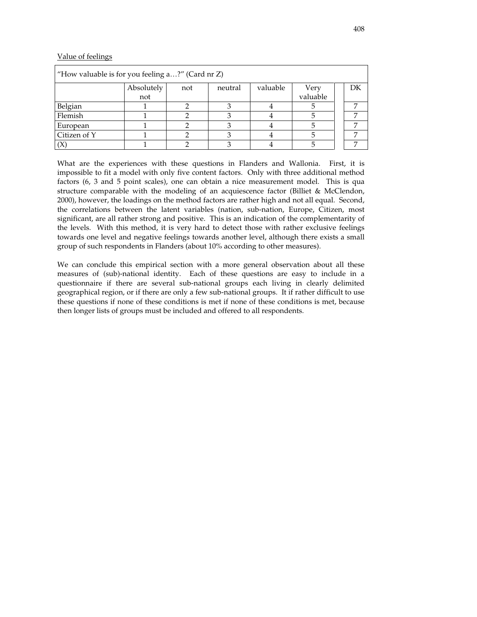# Value of feelings

| "How valuable is for you feeling $a$ ?" (Card nr Z) |            |     |         |          |          |    |
|-----------------------------------------------------|------------|-----|---------|----------|----------|----|
|                                                     | Absolutely | not | neutral | valuable | Very     | DК |
|                                                     | not        |     |         |          | valuable |    |
| Belgian                                             |            |     |         |          |          |    |
| Flemish                                             |            |     |         |          |          |    |
| European                                            |            |     |         |          |          |    |
| Citizen of Y                                        |            |     |         |          |          |    |
|                                                     |            |     |         |          |          |    |

What are the experiences with these questions in Flanders and Wallonia. First, it is impossible to fit a model with only five content factors. Only with three additional method factors (6, 3 and 5 point scales), one can obtain a nice measurement model. This is qua structure comparable with the modeling of an acquiescence factor (Billiet & McClendon, 2000), however, the loadings on the method factors are rather high and not all equal. Second, the correlations between the latent variables (nation, sub-nation, Europe, Citizen, most significant, are all rather strong and positive. This is an indication of the complementarity of the levels. With this method, it is very hard to detect those with rather exclusive feelings towards one level and negative feelings towards another level, although there exists a small group of such respondents in Flanders (about 10% according to other measures).

We can conclude this empirical section with a more general observation about all these measures of (sub)-national identity. Each of these questions are easy to include in a questionnaire if there are several sub-national groups each living in clearly delimited geographical region, or if there are only a few sub-national groups. It if rather difficult to use these questions if none of these conditions is met if none of these conditions is met, because then longer lists of groups must be included and offered to all respondents.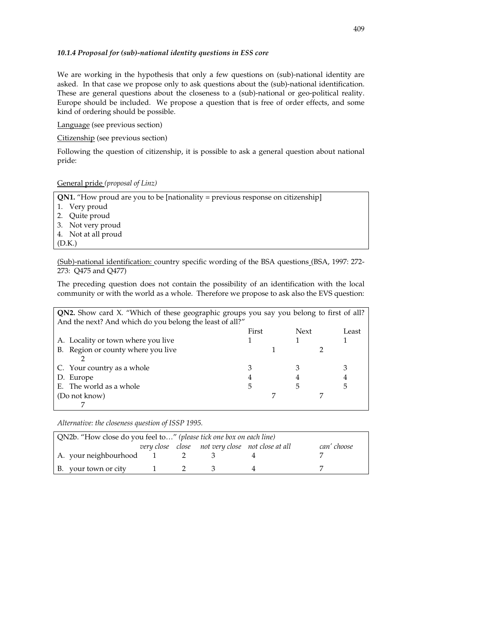#### *10.1.4 Proposal for (sub)-national identity questions in ESS core*

We are working in the hypothesis that only a few questions on (sub)-national identity are asked. In that case we propose only to ask questions about the (sub)-national identification. These are general questions about the closeness to a (sub)-national or geo-political reality. Europe should be included. We propose a question that is free of order effects, and some kind of ordering should be possible.

Language (see previous section)

Citizenship (see previous section)

Following the question of citizenship, it is possible to ask a general question about national pride:

#### General pride *(proposal of Linz)*

**QN1.** "How proud are you to be [nationality = previous response on citizenship]

- 1. Very proud
- 2. Quite proud
- 3. Not very proud
- 4. Not at all proud
- (D.K.)

(Sub)-national identification: country specific wording of the BSA questions (BSA, 1997: 272- 273: Q475 and Q477)

The preceding question does not contain the possibility of an identification with the local community or with the world as a whole. Therefore we propose to ask also the EVS question:

| QN2. Show card X. "Which of these geographic groups you say you belong to first of all? |       |             |       |
|-----------------------------------------------------------------------------------------|-------|-------------|-------|
| And the next? And which do you belong the least of all?"                                |       |             |       |
|                                                                                         | First | <b>Next</b> | Least |
| A. Locality or town where you live                                                      |       |             |       |
| B. Region or county where you live                                                      |       |             |       |
|                                                                                         |       |             |       |
| C. Your country as a whole                                                              |       |             |       |
| D. Europe                                                                               | 4     |             |       |
| E. The world as a whole                                                                 | 5     | 5           | 5     |
| (Do not know)                                                                           |       |             |       |
|                                                                                         |       |             |       |

*Alternative: the closeness question of ISSP 1995.* 

| QN2b. "How close do you feel to" (please tick one box on each line) |  |                                                  |             |
|---------------------------------------------------------------------|--|--------------------------------------------------|-------------|
|                                                                     |  | very close close not very close not close at all | can' choose |
| A. your neighbourhood 1                                             |  |                                                  |             |
| B. your town or city 1                                              |  |                                                  |             |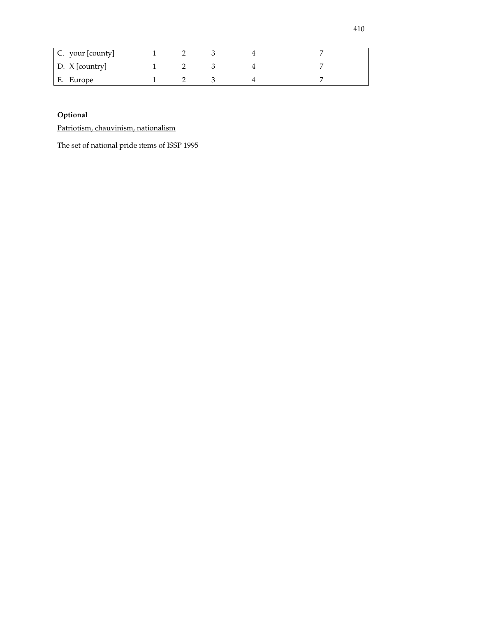| C. your [county] |  |  |  |
|------------------|--|--|--|
| D. X [country]   |  |  |  |
| E. Europe        |  |  |  |

# **Optional**

Patriotism, chauvinism, nationalism

The set of national pride items of ISSP 1995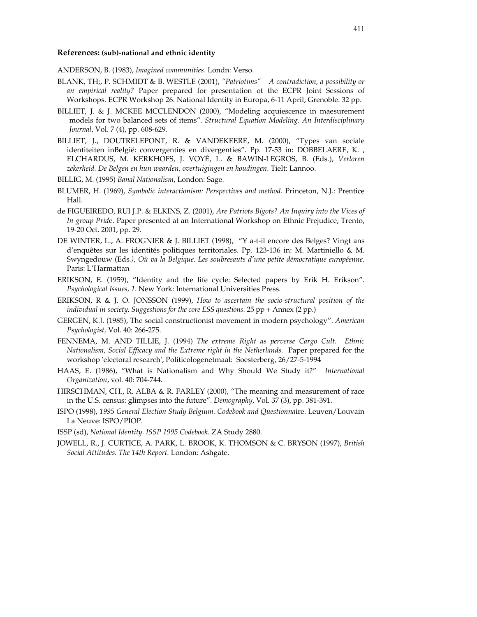#### **References: (sub)-national and ethnic identity**

ANDERSON, B. (1983), *Imagined communities*. Londn: Verso.

- BLANK, TH;, P. SCHMIDT & B. WESTLE (2001), *"Patriotims" A contradiction, a possibility or an empirical reality?* Paper prepared for presentation ot the ECPR Joint Sessions of Workshops. ECPR Workshop 26. National Identity in Europa, 6-11 April, Grenoble. 32 pp.
- BILLIET, J. & J. MCKEE MCCLENDON (2000), "Modeling acquiescence in maesurement models for two balanced sets of items". *Structural Equation Modeling. An Interdisciplinary Journal*, Vol. 7 (4), pp. 608-629.
- BILLIET, J., DOUTRELEPONT, R. & VANDEKEERE, M. (2000), "Types van sociale identiteiten inBelgië: convergenties en divergenties". Pp. 17-53 in: DOBBELAERE, K. , ELCHARDUS, M. KERKHOFS, J. VOYÉ, L. & BAWIN-LEGROS, B. (Eds.), *Verloren zekerheid. De Belgen en hun waarden, overtuigingen en houdingen*. Tielt: Lannoo.
- BILLIG, M. (1995) *Banal Nationalism*, London: Sage.
- BLUMER, H. (1969), *Symbolic interactionism: Perspectives and method*. Princeton, N.J.: Prentice Hall.
- de FIGUEIREDO, RUI J.P. & ELKINS, Z. (2001), *Are Patriots Bigots? An Inquiry into the Vices of In-group Prid*e. Paper presented at an International Workshop on Ethnic Prejudice, Trento, 19-20 Oct. 2001, pp. 29.
- DE WINTER, L., A. FROGNIER & J. BILLIET (1998), "Y a-t-il encore des Belges? Vingt ans d'enquêtes sur les identités politiques territoriales. Pp. 123-136 in: M. Martiniello & M. Swyngedouw (Eds*.), Où va la Belgique. Les soubresauts d'une petite démocratique européenne.* Paris: L'Harmattan
- ERIKSON, E. (1959), "Identity and the life cycle: Selected papers by Erik H. Erikson". *Psychological Issues, 1*. New York: International Universities Press.
- ERIKSON, R & J. O. JONSSON (1999), *How to ascertain the socio-structural position of the individual in society. Suggestions for the core ESS questions.* 25 pp + Annex (2 pp.)
- GERGEN, K.J. (1985), The social constructionist movement in modern psychology". *American Psychologist,* Vol. 40: 266-275.
- FENNEMA, M. AND TILLIE, J. (1994) *The extreme Right as perverse Cargo Cult. Ethnic Nationalism, Social Efficacy and the Extreme right in the Netherlands.* Paper prepared for the workshop 'electoral research', Politicologenetmaal: Soesterberg, 26/27-5-1994
- HAAS, E. (1986), "What is Nationalism and Why Should We Study it?" *International Organization*, vol. 40: 704-744.
- HIRSCHMAN, CH., R. ALBA & R. FARLEY (2000), "The meaning and measurement of race in the U.S. census: glimpses into the future". *Demography*, Vol. 37 (3), pp. 381-391.
- ISPO (1998), *1995 General Election Study Belgium. Codebook and Questionna*ire. Leuven/Louvain La Neuve: ISPO/PIOP.

ISSP (sd), *National Identity. ISSP 1995 Codebook*. ZA Study 2880.

JOWELL, R., J. CURTICE, A. PARK, L. BROOK, K. THOMSON & C. BRYSON (1997), *British Social Attitudes. The 14th Report.* London: Ashgate.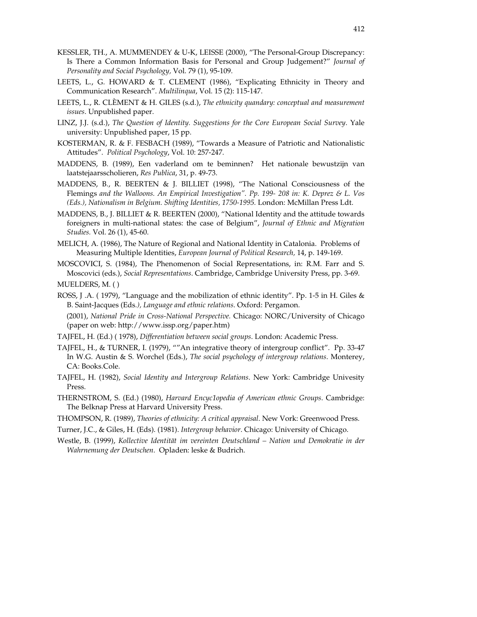- KESSLER, TH., A. MUMMENDEY & U-K, LEISSE (2000), "The Personal-Group Discrepancy: Is There a Common Information Basis for Personal and Group Judgement?" *Journal of Personality and Social Psychology,* Vol. 79 (1), 95-109.
- LEETS, L., G. HOWARD & T. CLEMENT (1986), "Explicating Ethnicity in Theory and Communication Research". *Multilinqua*, Vol. 15 (2): 115-147.
- LEETS, L., R. CLÈMENT & H. GILES (s.d.), *The ethnicity quandary: conceptual and measurement issues*. Unpublished paper.
- LINZ, J.J. (s.d.), *The Question of Identity. Suggestions for the Core European Social Survey*. Yale university: Unpublished paper, 15 pp.
- KOSTERMAN, R. & F. FESBACH (1989), "Towards a Measure of Patriotic and Nationalistic Attitudes". *Political Psychology*, Vol. 10: 257-247.
- MADDENS, B. (1989), Een vaderland om te beminnen? Het nationale bewustzijn van laatstejaarsscholieren, *Res Publica*, 31, p. 49-73.
- MADDENS, B., R. BEERTEN & J. BILLIET (1998), "The National Consciousness of the Flemings *and the Walloons. An Empirical Investigation". Pp. 199- 208 in: K. Deprez & L. Vos (Eds.), Nationalism in Belgium. Shifting Identities, 1750-1995.* London: McMillan Press Ldt.
- MADDENS, B., J. BILLIET & R. BEERTEN (2000), "National Identity and the attitude towards foreigners in multi-national states: the case of Belgium", *Journal of Ethnic and Migration Studies.* Vol. 26 (1), 45-60.
- MELICH, A. (1986), The Nature of Regional and National Identity in Catalonia. Problems of Measuring Multiple Identities, *European Journal of Political Research,* 14, p. 149-169.
- MOSCOVICI, S. (1984), The Phenomenon of Social Representations, in: R.M. Farr and S. Moscovici (eds.), *Social Representations*. Cambridge, Cambridge University Press, pp. 3-69. MUELDERS, M. ( )
- ROSS, J.A. (1979), "Language and the mobilization of ethnic identity". Pp. 1-5 in H. Giles & B. Saint-Jacques (Eds*.), Language and ethnic relations*. Oxford: Pergamon.

 (2001), *National Pride in Cross-National Perspective.* Chicago: NORC/University of Chicago (paper on web: http://www.issp.org/paper.htm)

- TAJFEL, H. (Ed.) ( 1978), *Differentiation between social groups*. London: Academic Press.
- TAJFEL, H., & TURNER, I. (1979), ""An integrative theory of intergroup conflict". Pp. 33-47 In W.G. Austin & S. Worchel (Eds.), *The social psychology of intergroup relations*. Monterey, CA: Books.Cole.
- TAJFEL, H. (1982), *Social Identity and Intergroup Relations*. New York: Cambridge Univesity Press.
- THERNSTROM, S. (Ed.) (1980), *Harvard Encyc1opedia of American ethnic Groups*. Cambridge: The Belknap Press at Harvard University Press.
- THOMPSON, R. (1989), *Theories of ethnicity: A critical appraisal*. New Vork: Greenwood Press.
- Turner, J.C., & Giles, H. (Eds). (1981). *Intergroup behavior*. Chicago: University of Chicago.
- Westle, B. (1999), *Kollective Identität im vereinten Deutschland Nation und Demokratie in der Wahrnemung der Deutschen*. Opladen: leske & Budrich.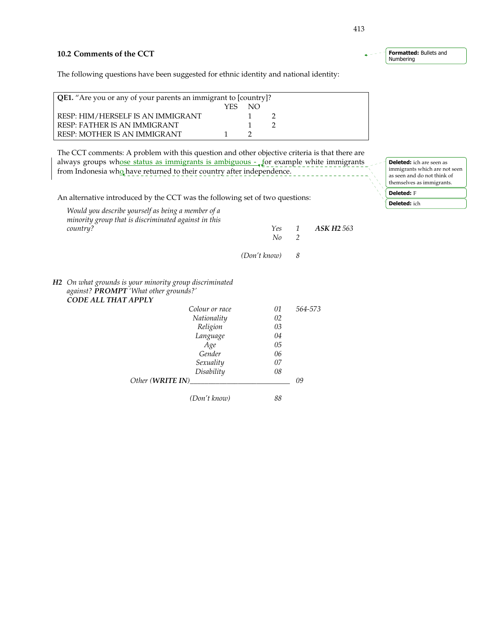# **10.2 Comments of the CCT**

The following questions have been suggested for ethnic identity and national identity:

| <b>QE1.</b> "Are you or any of your parents an immigrant to [country]? |     |     |  |  |
|------------------------------------------------------------------------|-----|-----|--|--|
|                                                                        | YFS | NO. |  |  |
| RESP: HIM/HERSELF IS AN IMMIGRANT                                      |     |     |  |  |
| RESP: FATHER IS AN IMMIGRANT                                           |     |     |  |  |
| RESP: MOTHER IS AN IMMIGRANT                                           |     |     |  |  |

The CCT comments: A problem with this question and other objective criteria is that there are always groups whose status as immigrants is ambiguous  $-\sqrt{2}$  example white immigrants from Indonesia who have returned to their country after independence.

An alternative introduced by the CCT was the following set of two questions:

| Would you describe yourself as being a member of a<br>minority group that is discriminated against in this |                |              |                |                   |
|------------------------------------------------------------------------------------------------------------|----------------|--------------|----------------|-------------------|
| country?                                                                                                   |                | Yes          | $\mathcal{I}$  | <b>ASK H2 563</b> |
|                                                                                                            |                | No           | $\overline{2}$ |                   |
|                                                                                                            |                | (Don't know) | 8              |                   |
| H2 On what grounds is your minority group discriminated<br>against? PROMPT 'What other grounds?'           |                |              |                |                   |
| CODE ALL THAT APPLY                                                                                        |                |              |                |                   |
|                                                                                                            | Colour or race | 01           |                | 564-573           |
|                                                                                                            | Nationality    | 02           |                |                   |
|                                                                                                            | Religion       | 03           |                |                   |
|                                                                                                            | Language       | 04           |                |                   |
|                                                                                                            | Age            | 05           |                |                   |
|                                                                                                            | Gender         | 06           |                |                   |
|                                                                                                            | Sexuality      | 07           |                |                   |
|                                                                                                            | Disability     | 08           |                |                   |
| Other (WRITE IN)                                                                                           |                |              | 09             |                   |
|                                                                                                            | (Don't know)   | 88           |                |                   |

413

Formatted: Bullets and Numbering

> Deleted: ich are seen as immigrants which are not seen as seen and do not think of themselves as immigrants.

Deleted: F Deleted: ich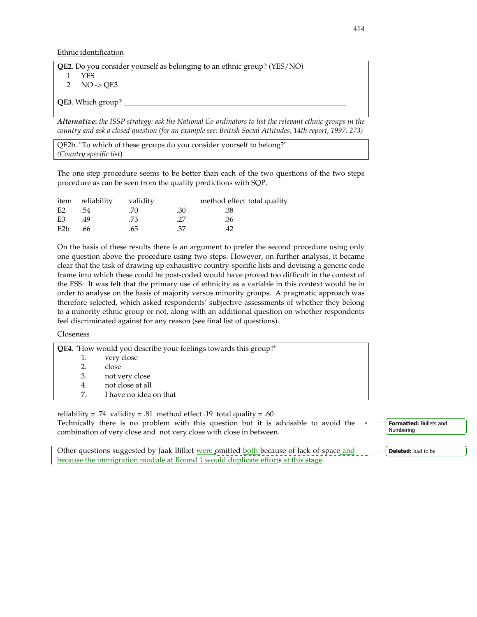Ethnic identification

| <b>QE2.</b> Do you consider yourself as belonging to an ethnic group? (YES/NO) |
|--------------------------------------------------------------------------------|
| YES.                                                                           |
| 2 $NO \rightarrow OE3$                                                         |
| <b>QE3</b> . Which group? $\Box$                                               |

*Alternative***:** *the ISSP strategy: ask the National Co-ordinators to list the relevant ethnic groups in the country and ask a closed question (for an example see: British Social Attitudes, 14th report, 1997: 273)*

QE2b. "To which of these groups do you consider yourself to belong?" *(Country specific list*)

The one step procedure seems to be better than each of the two questions of the two steps procedure as can be seen from the quality predictions with SQP.

|                  | item reliability | validity |     | method effect total quality |  |
|------------------|------------------|----------|-----|-----------------------------|--|
| E <sub>2</sub>   | .54              | .70      | .30 | .38                         |  |
| E3               | .49              | .73      | .27 | .36                         |  |
| E <sub>2</sub> b | .66              | .65      | .37 | 42                          |  |

On the basis of these results there is an argument to prefer the second procedure using only one question above the procedure using two steps. However, on further analysis, it became clear that the task of drawing up exhaustive country-specific lists and devising a generic code frame into which these could be post-coded would have proved too difficult in the context of the ESS. It was felt that the primary use of ethnicity as a variable in this context would be in order to analyse on the basis of majority versus minority groups. A pragmatic approach was therefore selected, which asked respondents' subjective assessments of whether they belong to a minority ethnic group or not, along with an additional question on whether respondents feel discriminated against for any reason (see final list of questions).

**Closeness** 

| QE4. "How would you describe your feelings towards this group?" |                        |  |  |
|-----------------------------------------------------------------|------------------------|--|--|
| 1.                                                              | very close             |  |  |
|                                                                 | close                  |  |  |
| 3.                                                              | not very close         |  |  |
| 4.                                                              | not close at all       |  |  |
|                                                                 | I have no idea on that |  |  |

reliability = .74 validity = .81 method effect .19 total quality = .60 Technically there is no problem with this question but it is advisable to avoid the combination of very close and not very close with close in between. Formatted: Bullets and Numbering

Other questions suggested by Jaak Billiet were omitted both because of lack of space and because the immigration module at Round 1 would duplicate efforts at this stage. Deleted: had to be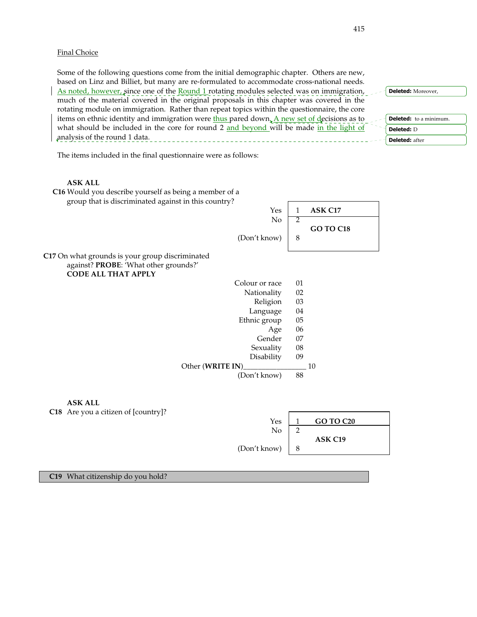### Final Choice

Some of the following questions come from the initial demographic chapter. Others are new, based on Linz and Billiet, but many are re-formulated to accommodate cross-national needs. As noted, however, since one of the **Round 1** rotating modules selected was on immigration, much of the material covered in the original proposals in this chapter was covered in the rotating module on immigration. Rather than repeat topics within the questionnaire, the core items on ethnic identity and immigration were thus pared down. A new set of decisions as to what should be included in the core for round 2 and beyond will be made in the light of analysis of the round 1 data. Deleted: Moreover, Deleted: to a minimum. Deleted: D Deleted: after

The items included in the final questionnaire were as follows:

#### **ASK ALL**



 **C19** What citizenship do you hold?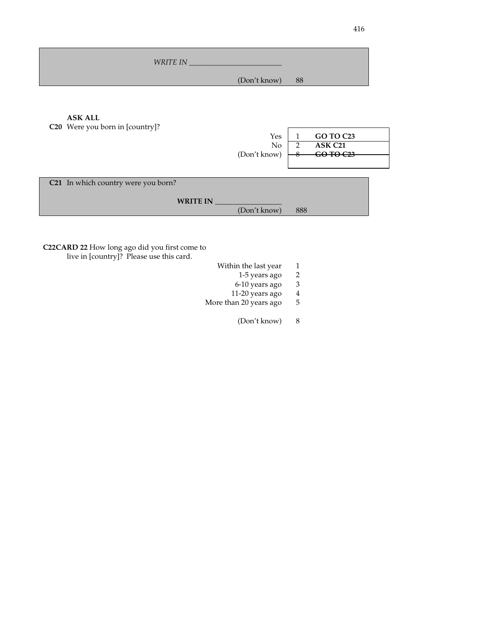| <b>WRITE IN</b> |  |
|-----------------|--|
| (Don't know) 88 |  |

**ASK ALL** 

 **C20** Were you born in [country]? Yes 1 **GO TO C23**<br>No 2 **ASK C21**  No 2 **ASK C21**  $(Don't know)$   $\rightarrow$  **60 TO C23 C21** In which country were you born? WRITE IN (Don't know) 888

**C22CARD 22** How long ago did you first come to live in [country]? Please use this card.

- Within the last year 1<br>1-5 years ago 2
	- 1-5 years ago 2
	-
	- $6-10$  years ago  $3$ <br> $11-20$  years ago  $4$ 11-20 years ago
- More than 20 years ago 5
	- (Don't know) 8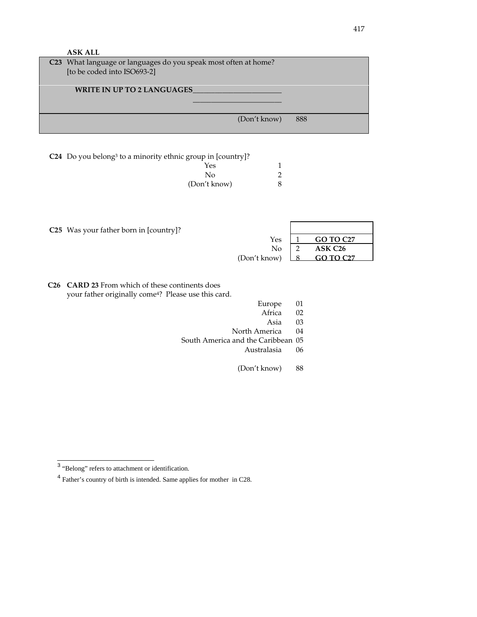| <b>ASK ALL</b>                                                          |              |                |     |                     |
|-------------------------------------------------------------------------|--------------|----------------|-----|---------------------|
| C23 What language or languages do you speak most often at home?         |              |                |     |                     |
| [to be coded into ISO693-2]                                             |              |                |     |                     |
|                                                                         |              |                |     |                     |
| <b>WRITE IN UP TO 2 LANGUAGES</b>                                       |              |                |     |                     |
|                                                                         |              |                |     |                     |
|                                                                         |              |                |     |                     |
|                                                                         |              | (Don't know)   | 888 |                     |
|                                                                         |              |                |     |                     |
|                                                                         |              |                |     |                     |
|                                                                         |              |                |     |                     |
| C24 Do you belong <sup>3</sup> to a minority ethnic group in [country]? |              |                |     |                     |
|                                                                         | Yes          | 1              |     |                     |
|                                                                         | No           | $\overline{2}$ |     |                     |
|                                                                         | (Don't know) | 8              |     |                     |
|                                                                         |              |                |     |                     |
|                                                                         |              |                |     |                     |
|                                                                         |              |                |     |                     |
|                                                                         |              |                |     |                     |
|                                                                         |              |                |     |                     |
| C25 Was your father born in [country]?                                  |              |                |     |                     |
|                                                                         |              | Yes            | 1   | <b>GO TO C27</b>    |
|                                                                         |              | No             | 2   | ASK C <sub>26</sub> |
|                                                                         |              | (Don't know)   | 8   | <b>GO TO C27</b>    |

**C26 CARD 23** From which of these continents does your father originally come<sup>4</sup>? Please use this card.

Europe 01<br>Africa 02

Africa 02

Asia 03

North America 04

South America and the Caribbean 05

Australasia 06

(Don't know) 88

<sup>&</sup>lt;sup>3</sup> "Belong" refers to attachment or identification.

<sup>&</sup>lt;sup>4</sup> Father's country of birth is intended. Same applies for mother in C28.